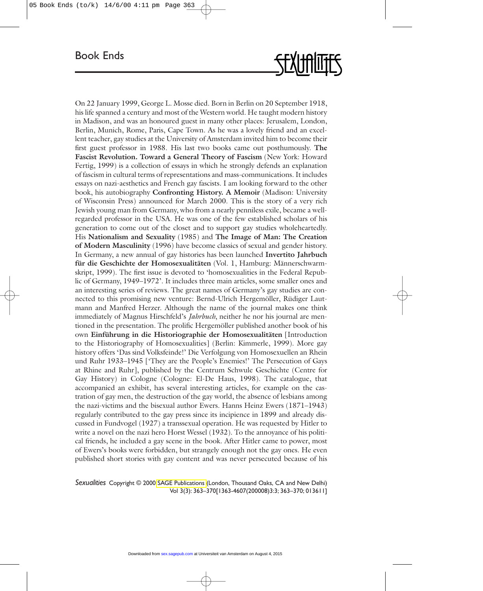

On 22 January 1999, George L. Mosse died. Born in Berlin on 20 September 1918, his life spanned a century and most of the Western world. He taught modern history in Madison, and was an honoured guest in many other places: Jerusalem, London, Berlin, Munich, Rome, Paris, Cape Town. As he was a lovely friend and an excellent teacher, gay studies at the University of Amsterdam invited him to become their first guest professor in 1988. His last two books came out posthumously. **The Fascist Revolution. Toward a General Theory of Fascism** (New York: Howard Fertig, 1999) is a collection of essays in which he strongly defends an explanation of fascism in cultural terms of representations and mass-communications. It includes essays on nazi-aesthetics and French gay fascists. I am looking forward to the other book, his autobiography **Confronting History. A Memoir** (Madison: University of Wisconsin Press) announced for March 2000. This is the story of a very rich Jewish young man from Germany, who from a nearly penniless exile, became a wellregarded professor in the USA. He was one of the few established scholars of his generation to come out of the closet and to support gay studies wholeheartedly. His **Nationalism and Sexuality** (1985) and **The Image of Man: The Creation of Modern Masculinity** (1996) have become classics of sexual and gender history. In Germany, a new annual of gay histories has been launched **Invertito Jahrbuch für die Geschichte der Homosexualitäten** (Vol. 1, Hamburg: Männerschwarmskript, 1999). The first issue is devoted to 'homosexualities in the Federal Republic of Germany, 1949–1972'. It includes three main articles, some smaller ones and an interesting series of reviews. The great names of Germany's gay studies are connected to this promising new venture: Bernd-Ulrich Hergemöller, Rüdiger Lautmann and Manfred Herzer. Although the name of the journal makes one think immediately of Magnus Hirschfeld's *Jahrbuch*, neither he nor his journal are mentioned in the presentation. The prolific Hergemöller published another book of his own **Einführung in die Historiographie der Homosexualitäten** [Introduction to the Historiography of Homosexualities] (Berlin: Kimmerle, 1999). More gay history offers 'Das sind Volksfeinde!' Die Verfolgung von Homosexuellen an Rhein und Ruhr 1933–1945 ['They are the People's Enemies!' The Persecution of Gays at Rhine and Ruhr], published by the Centrum Schwule Geschichte (Centre for Gay History) in Cologne (Cologne: El-De Haus, 1998). The catalogue, that accompanied an exhibit, has several interesting articles, for example on the castration of gay men, the destruction of the gay world, the absence of lesbians among the nazi-victims and the bisexual author Ewers. Hanns Heinz Ewers (1871–1943) regularly contributed to the gay press since its incipience in 1899 and already discussed in Fundvogel (1927) a transsexual operation. He was requested by Hitler to write a novel on the nazi hero Horst Wessel (1932). To the annoyance of his political friends, he included a gay scene in the book. After Hitler came to power, most of Ewers's books were forbidden, but strangely enough not the gay ones. He even published short stories with gay content and was never persecuted because of his

*Sexualities* Copyright © 2000 [SAGE Publications](http://www.sagepub.co.uk/) (London, Thousand Oaks, CA and New Delhi) Vol 3(3): 363–370[1363-4607(200008)3:3; 363–370; 013611]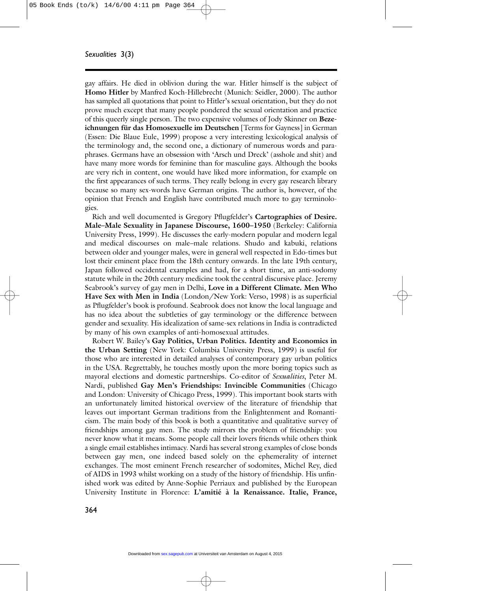gay affairs. He died in oblivion during the war. Hitler himself is the subject of **Homo Hitler** by Manfred Koch-Hillebrecht (Munich: Seidler, 2000). The author has sampled all quotations that point to Hitler's sexual orientation, but they do not prove much except that many people pondered the sexual orientation and practice of this queerly single person. The two expensive volumes of Jody Skinner on **Bezeichnungen für das Homosexuelle im Deutschen** [Terms for Gayness] in German (Essen: Die Blaue Eule, 1999) propose a very interesting lexicological analysis of the terminology and, the second one, a dictionary of numerous words and paraphrases. Germans have an obsession with 'Arsch und Dreck' (asshole and shit) and have many more words for feminine than for masculine gays. Although the books are very rich in content, one would have liked more information, for example on the first appearances of such terms. They really belong in every gay research library because so many sex-words have German origins. The author is, however, of the opinion that French and English have contributed much more to gay terminologies.

Rich and well documented is Gregory Pflugfelder's **Cartographies of Desire. Male–Male Sexuality in Japanese Discourse, 1600–1950** (Berkeley: California University Press, 1999). He discusses the early-modern popular and modern legal and medical discourses on male–male relations. Shudo and kabuki, relations between older and younger males, were in general well respected in Edo-times but lost their eminent place from the 18th century onwards. In the late 19th century, Japan followed occidental examples and had, for a short time, an anti-sodomy statute while in the 20th century medicine took the central discursive place. Jeremy Seabrook's survey of gay men in Delhi, **Love in a Different Climate. Men Who Have Sex with Men in India** (London/New York: Verso, 1998) is as superficial as Pflugfelder's book is profound. Seabrook does not know the local language and has no idea about the subtleties of gay terminology or the difference between gender and sexuality. His idealization of same-sex relations in India is contradicted by many of his own examples of anti-homosexual attitudes.

Robert W. Bailey's **Gay Politics, Urban Politics. Identity and Economics in the Urban Setting** (New York: Columbia University Press, 1999) is useful for those who are interested in detailed analyses of contemporary gay urban politics in the USA. Regrettably, he touches mostly upon the more boring topics such as mayoral elections and domestic partnerships. Co-editor of *Sexualities*, Peter M. Nardi, published **Gay Men's Friendships: Invincible Communities** (Chicago and London: University of Chicago Press, 1999). This important book starts with an unfortunately limited historical overview of the literature of friendship that leaves out important German traditions from the Enlightenment and Romanticism. The main body of this book is both a quantitative and qualitative survey of friendships among gay men. The study mirrors the problem of friendship: you never know what it means. Some people call their lovers friends while others think a single email establishes intimacy. Nardi has several strong examples of close bonds between gay men, one indeed based solely on the ephemerality of internet exchanges. The most eminent French researcher of sodomites, Michel Rey, died of AIDS in 1993 whilst working on a study of the history of friendship. His unfinished work was edited by Anne-Sophie Perriaux and published by the European University Institute in Florence: **L'amitié à la Renaissance. Italie, France,**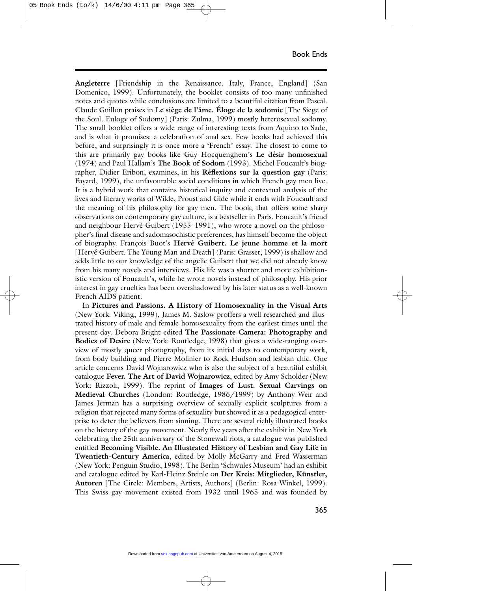**Angleterre** [Friendship in the Renaissance. Italy, France, England] (San Domenico, 1999). Unfortunately, the booklet consists of too many unfinished notes and quotes while conclusions are limited to a beautiful citation from Pascal. Claude Guillon praises in **Le siège de l'âme. Éloge de la sodomie** [The Siege of the Soul. Eulogy of Sodomy] (Paris: Zulma, 1999) mostly heterosexual sodomy. The small booklet offers a wide range of interesting texts from Aquino to Sade, and is what it promises: a celebration of anal sex. Few books had achieved this before, and surprisingly it is once more a 'French' essay. The closest to come to this are primarily gay books like Guy Hocquenghem's **Le désir homosexual** (1974) and Paul Hallam's **The Book of Sodom** (1993). Michel Foucault's biographer, Didier Eribon, examines, in his **Réflexions sur la question gay** (Paris: Fayard, 1999), the unfavourable social conditions in which French gay men live. It is a hybrid work that contains historical inquiry and contextual analysis of the lives and literary works of Wilde, Proust and Gide while it ends with Foucault and the meaning of his philosophy for gay men. The book, that offers some sharp observations on contemporary gay culture, is a bestseller in Paris. Foucault's friend and neighbour Hervé Guibert (1955–1991), who wrote a novel on the philosopher's final disease and sadomasochistic preferences, has himself become the object of biography. François Buot's **Hervé Guibert. Le jeune homme et la mort** [Hervé Guibert. The Young Man and Death] (Paris: Grasset, 1999) is shallow and adds little to our knowledge of the angelic Guibert that we did not already know from his many novels and interviews. His life was a shorter and more exhibitionistic version of Foucault's, while he wrote novels instead of philosophy. His prior interest in gay cruelties has been overshadowed by his later status as a well-known French AIDS patient.

In **Pictures and Passions. A History of Homosexuality in the Visual Arts** (New York: Viking, 1999), James M. Saslow proffers a well researched and illustrated history of male and female homosexuality from the earliest times until the present day. Debora Bright edited **The Passionate Camera: Photography and Bodies of Desire** (New York: Routledge, 1998) that gives a wide-ranging overview of mostly queer photography, from its initial days to contemporary work, from body building and Pierre Molinier to Rock Hudson and lesbian chic. One article concerns David Wojnarowicz who is also the subject of a beautiful exhibit catalogue **Fever. The Art of David Wojnarowicz**, edited by Amy Scholder (New York: Rizzoli, 1999). The reprint of **Images of Lust. Sexual Carvings on Medieval Churches** (London: Routledge, 1986/1999) by Anthony Weir and James Jerman has a surprising overview of sexually explicit sculptures from a religion that rejected many forms of sexuality but showed it as a pedagogical enterprise to deter the believers from sinning. There are several richly illustrated books on the history of the gay movement. Nearly five years after the exhibit in New York celebrating the 25th anniversary of the Stonewall riots, a catalogue was published entitled **Becoming Visible. An Illustrated History of Lesbian and Gay Life in Twentieth-Century America**, edited by Molly McGarry and Fred Wasserman (New York: Penguin Studio, 1998). The Berlin 'Schwules Museum' had an exhibit and catalogue edited by Karl-Heinz Steinle on **Der Kreis: Mitglieder, Künstler, Autoren** [The Circle: Members, Artists, Authors] (Berlin: Rosa Winkel, 1999). This Swiss gay movement existed from 1932 until 1965 and was founded by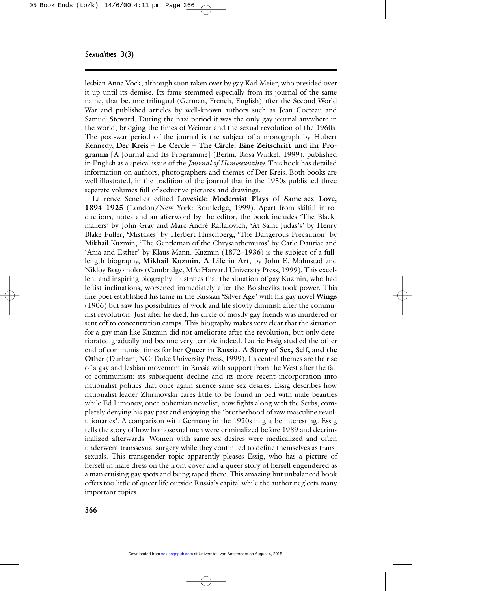lesbian Anna Vock, although soon taken over by gay Karl Meier, who presided over it up until its demise. Its fame stemmed especially from its journal of the same name, that became trilingual (German, French, English) after the Second World War and published articles by well-known authors such as Jean Cocteau and Samuel Steward. During the nazi period it was the only gay journal anywhere in the world, bridging the times of Weimar and the sexual revolution of the 1960s. The post-war period of the journal is the subject of a monograph by Hubert Kennedy, **Der Kreis – Le Cercle – The Circle. Eine Zeitschrift und ihr Programm** [A Journal and Its Programme] (Berlin: Rosa Winkel, 1999), published in English as a speical issue of the *Journal of Homosexuality*. This book has detailed information on authors, photographers and themes of Der Kreis. Both books are well illustrated, in the tradition of the journal that in the 1950s published three separate volumes full of seductive pictures and drawings.

Laurence Senelick edited **Lovesick: Modernist Plays of Same-sex Love, 1894–1925** (London/New York: Routledge, 1999). Apart from skilful introductions, notes and an afterword by the editor, the book includes 'The Blackmailers' by John Gray and Marc-André Raffalovich, 'At Saint Judas's' by Henry Blake Fuller, 'Mistakes' by Herbert Hirschberg, 'The Dangerous Precaution' by Mikhail Kuzmin, 'The Gentleman of the Chrysanthemums' by Carle Dauriac and 'Ania and Esther' by Klaus Mann. Kuzmin (1872–1936) is the subject of a fulllength biography, **Mikhail Kuzmin. A Life in Art**, by John E. Malmstad and Nikloy Bogomolov (Cambridge, MA: Harvard University Press, 1999). This excellent and inspiring biography illustrates that the situation of gay Kuzmin, who had leftist inclinations, worsened immediately after the Bolsheviks took power. This fine poet established his fame in the Russian 'Silver Age' with his gay novel **Wings** (1906) but saw his possibilities of work and life slowly diminish after the communist revolution. Just after he died, his circle of mostly gay friends was murdered or sent off to concentration camps. This biography makes very clear that the situation for a gay man like Kuzmin did not ameliorate after the revolution, but only deteriorated gradually and became very terrible indeed. Laurie Essig studied the other end of communist times for her **Queer in Russia. A Story of Sex, Self, and the Other** (Durham, NC: Duke University Press, 1999). Its central themes are the rise of a gay and lesbian movement in Russia with support from the West after the fall of communism; its subsequent decline and its more recent incorporation into nationalist politics that once again silence same-sex desires. Essig describes how nationalist leader Zhirinovskii cares little to be found in bed with male beauties while Ed Limonov, once bohemian novelist, now fights along with the Serbs, completely denying his gay past and enjoying the 'brotherhood of raw masculine revolutionaries'. A comparison with Germany in the 1920s might be interesting. Essig tells the story of how homosexual men were criminalized before 1989 and decriminalized afterwards. Women with same-sex desires were medicalized and often underwent transsexual surgery while they continued to define themselves as transsexuals. This transgender topic apparently pleases Essig, who has a picture of herself in male dress on the front cover and a queer story of herself engendered as a man cruising gay spots and being raped there. This amazing but unbalanced book offers too little of queer life outside Russia's capital while the author neglects many important topics.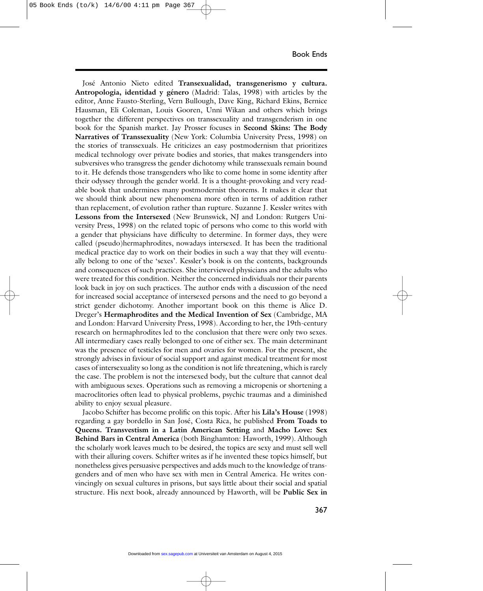José Antonio Nieto edited **Transexualidad, transgenerismo y cultura. Antropologia, identidad y género** (Madrid: Talas, 1998) with articles by the editor, Anne Fausto-Sterling, Vern Bullough, Dave King, Richard Ekins, Bernice Hausman, Eli Coleman, Louis Gooren, Unni Wikan and others which brings together the different perspectives on transsexuality and transgenderism in one book for the Spanish market. Jay Prosser focuses in **Second Skins: The Body Narratives of Transsexuality** (New York: Columbia University Press, 1998) on the stories of transsexuals. He criticizes an easy postmodernism that prioritizes medical technology over private bodies and stories, that makes transgenders into subversives who transgress the gender dichotomy while transsexuals remain bound to it. He defends those transgenders who like to come home in some identity after their odyssey through the gender world. It is a thought-provoking and very readable book that undermines many postmodernist theorems. It makes it clear that we should think about new phenomena more often in terms of addition rather than replacement, of evolution rather than rupture. Suzanne J. Kessler writes with **Lessons from the Intersexed** (New Brunswick, NJ and London: Rutgers University Press, 1998) on the related topic of persons who come to this world with a gender that physicians have difficulty to determine. In former days, they were called (pseudo)hermaphrodites, nowadays intersexed. It has been the traditional medical practice day to work on their bodies in such a way that they will eventually belong to one of the 'sexes'. Kessler's book is on the contents, backgrounds and consequences of such practices. She interviewed physicians and the adults who were treated for this condition. Neither the concerned individuals nor their parents look back in joy on such practices. The author ends with a discussion of the need for increased social acceptance of intersexed persons and the need to go beyond a strict gender dichotomy. Another important book on this theme is Alice D. Dreger's **Hermaphrodites and the Medical Invention of Sex** (Cambridge, MA and London: Harvard University Press, 1998). According to her, the 19th-century research on hermaphrodites led to the conclusion that there were only two sexes. All intermediary cases really belonged to one of either sex. The main determinant was the presence of testicles for men and ovaries for women. For the present, she strongly advises in faviour of social support and against medical treatment for most cases of intersexuality so long as the condition is not life threatening, which is rarely the case. The problem is not the intersexed body, but the culture that cannot deal with ambiguous sexes. Operations such as removing a micropenis or shortening a macroclitories often lead to physical problems, psychic traumas and a diminished ability to enjoy sexual pleasure.

Jacobo Schifter has become prolific on this topic. After his **Lila's House** (1998) regarding a gay bordello in San José, Costa Rica, he published **From Toads to Queens. Transvestism in a Latin American Setting** and **Macho Love: Sex Behind Bars in Central America** (both Binghamton: Haworth, 1999). Although the scholarly work leaves much to be desired, the topics are sexy and must sell well with their alluring covers. Schifter writes as if he invented these topics himself, but nonetheless gives persuasive perspectives and adds much to the knowledge of transgenders and of men who have sex with men in Central America. He writes convincingly on sexual cultures in prisons, but says little about their social and spatial structure. His next book, already announced by Haworth, will be **Public Sex in**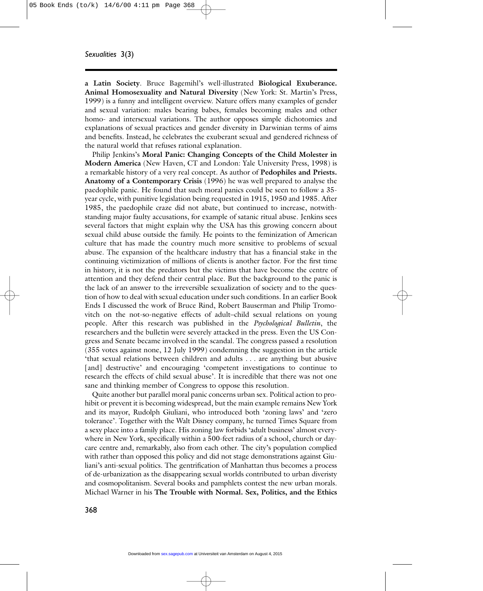**a Latin Society**. Bruce Bagemihl's well-illustrated **Biological Exuberance. Animal Homosexuality and Natural Diversity** (New York: St. Martin's Press, 1999) is a funny and intelligent overview. Nature offers many examples of gender and sexual variation: males bearing babes, females becoming males and other homo- and intersexual variations. The author opposes simple dichotomies and explanations of sexual practices and gender diversity in Darwinian terms of aims and benefits. Instead, he celebrates the exuberant sexual and gendered richness of the natural world that refuses rational explanation.

Philip Jenkins's **Moral Panic: Changing Concepts of the Child Molester in Modern America** (New Haven, CT and London: Yale University Press, 1998) is a remarkable history of a very real concept. As author of **Pedophiles and Priests. Anatomy of a Contemporary Crisis** (1996) he was well prepared to analyse the paedophile panic. He found that such moral panics could be seen to follow a 35 year cycle, with punitive legislation being requested in 1915, 1950 and 1985. After 1985, the paedophile craze did not abate, but continued to increase, notwithstanding major faulty accusations, for example of satanic ritual abuse. Jenkins sees several factors that might explain why the USA has this growing concern about sexual child abuse outside the family. He points to the feminization of American culture that has made the country much more sensitive to problems of sexual abuse. The expansion of the healthcare industry that has a financial stake in the continuing victimization of millions of clients is another factor. For the first time in history, it is not the predators but the victims that have become the centre of attention and they defend their central place. But the background to the panic is the lack of an answer to the irreversible sexualization of society and to the question of how to deal with sexual education under such conditions. In an earlier Book Ends I discussed the work of Bruce Rind, Robert Bauserman and Philip Tromovitch on the not-so-negative effects of adult–child sexual relations on young people. After this research was published in the *Psychological Bulletin*, the researchers and the bulletin were severely attacked in the press. Even the US Congress and Senate became involved in the scandal. The congress passed a resolution (355 votes against none, 12 July 1999) condemning the suggestion in the article 'that sexual relations between children and adults . . . are anything but abusive [and] destructive' and encouraging 'competent investigations to continue to research the effects of child sexual abuse'. It is incredible that there was not one sane and thinking member of Congress to oppose this resolution.

Quite another but parallel moral panic concerns urban sex. Political action to prohibit or prevent it is becoming widespread, but the main example remains New York and its mayor, Rudolph Giuliani, who introduced both 'zoning laws' and 'zero tolerance'. Together with the Walt Disney company, he turned Times Square from a sexy place into a family place. His zoning law forbids 'adult business' almost everywhere in New York, specifically within a 500-feet radius of a school, church or daycare centre and, remarkably, also from each other. The city's population complied with rather than opposed this policy and did not stage demonstrations against Giuliani's anti-sexual politics. The gentrification of Manhattan thus becomes a process of de-urbanization as the disappearing sexual worlds contributed to urban diveristy and cosmopolitanism. Several books and pamphlets contest the new urban morals. Michael Warner in his **The Trouble with Normal. Sex, Politics, and the Ethics**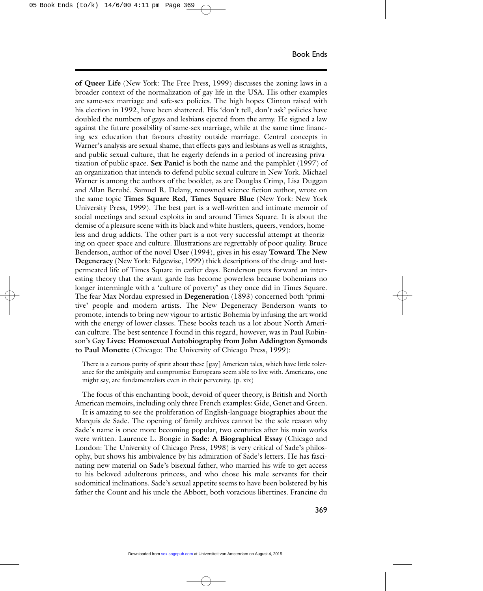**of Queer Life** (New York: The Free Press, 1999) discusses the zoning laws in a broader context of the normalization of gay life in the USA. His other examples are same-sex marriage and safe-sex policies. The high hopes Clinton raised with his election in 1992, have been shattered. His 'don't tell, don't ask' policies have doubled the numbers of gays and lesbians ejected from the army. He signed a law against the future possibility of same-sex marriage, while at the same time financing sex education that favours chastity outside marriage. Central concepts in Warner's analysis are sexual shame, that effects gays and lesbians as well as straights, and public sexual culture, that he eagerly defends in a period of increasing privatization of public space. **Sex Panic!** is both the name and the pamphlet (1997) of an organization that intends to defend public sexual culture in New York. Michael Warner is among the authors of the booklet, as are Douglas Crimp, Lisa Duggan and Allan Berubé. Samuel R. Delany, renowned science fiction author, wrote on the same topic **Times Square Red, Times Square Blue** (New York: New York University Press, 1999). The best part is a well-written and intimate memoir of social meetings and sexual exploits in and around Times Square. It is about the demise of a pleasure scene with its black and white hustlers, queers, vendors, homeless and drug addicts. The other part is a not-very-successful attempt at theorizing on queer space and culture. Illustrations are regrettably of poor quality. Bruce Benderson, author of the novel **User** (1994), gives in his essay **Toward The New Degeneracy** (New York: Edgewise, 1999) thick descriptions of the drug- and lustpermeated life of Times Square in earlier days. Benderson puts forward an interesting theory that the avant garde has become powerless because bohemians no longer intermingle with a 'culture of poverty' as they once did in Times Square. The fear Max Nordau expressed in **Degeneration** (1893) concerned both 'primitive' people and modern artists. The New Degeneracy Benderson wants to promote, intends to bring new vigour to artistic Bohemia by infusing the art world with the energy of lower classes. These books teach us a lot about North American culture. The best sentence I found in this regard, however, was in Paul Robinson's G**ay Lives: Homosexual Autobiography from John Addington Symonds to Paul Monette** (Chicago: The University of Chicago Press, 1999):

There is a curious purity of spirit about these [gay] American tales, which have little tolerance for the ambiguity and compromise Europeans seem able to live with. Americans, one might say, are fundamentalists even in their perversity. (p. xix)

The focus of this enchanting book, devoid of queer theory, is British and North American memoirs, including only three French examples: Gide, Genet and Green.

It is amazing to see the proliferation of English-language biographies about the Marquis de Sade. The opening of family archives cannot be the sole reason why Sade's name is once more becoming popular, two centuries after his main works were written. Laurence L. Bongie in **Sade: A Biographical Essay** (Chicago and London: The University of Chicago Press, 1998) is very critical of Sade's philosophy, but shows his ambivalence by his admiration of Sade's letters. He has fascinating new material on Sade's bisexual father, who married his wife to get access to his beloved adulterous princess, and who chose his male servants for their sodomitical inclinations. Sade's sexual appetite seems to have been bolstered by his father the Count and his uncle the Abbott, both voracious libertines. Francine du